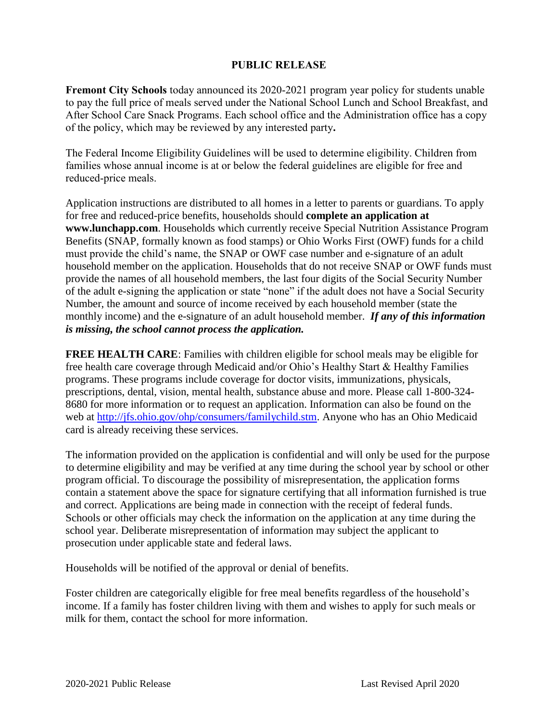## **PUBLIC RELEASE**

**Fremont City Schools** today announced its 2020-2021 program year policy for students unable to pay the full price of meals served under the National School Lunch and School Breakfast, and After School Care Snack Programs. Each school office and the Administration office has a copy of the policy, which may be reviewed by any interested party**.**

The Federal Income Eligibility Guidelines will be used to determine eligibility. Children from families whose annual income is at or below the federal guidelines are eligible for free and reduced-price meals.

Application instructions are distributed to all homes in a letter to parents or guardians. To apply for free and reduced-price benefits, households should **complete an application at www.lunchapp.com**. Households which currently receive Special Nutrition Assistance Program Benefits (SNAP, formally known as food stamps) or Ohio Works First (OWF) funds for a child must provide the child's name, the SNAP or OWF case number and e-signature of an adult household member on the application. Households that do not receive SNAP or OWF funds must provide the names of all household members, the last four digits of the Social Security Number of the adult e-signing the application or state "none" if the adult does not have a Social Security Number, the amount and source of income received by each household member (state the monthly income) and the e-signature of an adult household member. *If any of this information is missing, the school cannot process the application.*

**FREE HEALTH CARE**: Families with children eligible for school meals may be eligible for free health care coverage through Medicaid and/or Ohio's Healthy Start & Healthy Families programs. These programs include coverage for doctor visits, immunizations, physicals, prescriptions, dental, vision, mental health, substance abuse and more. Please call 1-800-324- 8680 for more information or to request an application. Information can also be found on the web at [http://jfs.ohio.gov/ohp/consumers/familychild.stm.](http://jfs.ohio.gov/ohp/consumers/familychild.stm) Anyone who has an Ohio Medicaid card is already receiving these services.

The information provided on the application is confidential and will only be used for the purpose to determine eligibility and may be verified at any time during the school year by school or other program official. To discourage the possibility of misrepresentation, the application forms contain a statement above the space for signature certifying that all information furnished is true and correct. Applications are being made in connection with the receipt of federal funds. Schools or other officials may check the information on the application at any time during the school year. Deliberate misrepresentation of information may subject the applicant to prosecution under applicable state and federal laws.

Households will be notified of the approval or denial of benefits.

Foster children are categorically eligible for free meal benefits regardless of the household's income. If a family has foster children living with them and wishes to apply for such meals or milk for them, contact the school for more information.